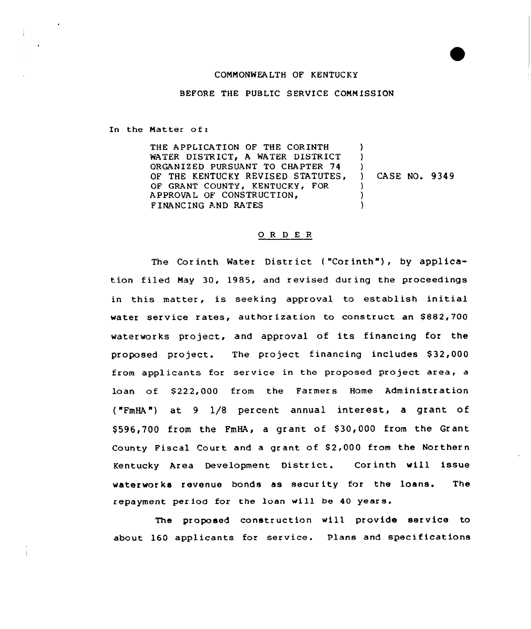# CONNONWEALTH OF KENTUCKY

BEFORE THE PUBLIC SERVICE COMMISSION

In the Matter of:

THE APPLICATION OF THE CORINTH ) WATER DISTRICT, <sup>A</sup> WATER DISTRICT  $\lambda$ ORGANIZED PURSUANT TO CHAPTER 74 OF THE KENTUCKY REVISED STATUTES,  $\mathcal{L}$ ) CA SE NQ. 934 9 OF GRANT COUNTY, KENTUCKY, FOR ) A PPROVAL OF CONSTRUCTION. ) FINANCING AND RATES )

# O R D E R

The Corinth Water District ("Corinth"), by application filed May 30, 1985, and revised during the proceedings in this matter, is seeking approval to establish initial water service rates, author ization to construct an \$882,700 waterworks project, and appraval of its financing for the proposed project. The project financing includes \$32,000 from applicants for service in the proposed project area, a loan of \$222,000 from the Farmers Home Administration ("FmHA") at 9 1/8 percent annual interest, a grant of \$596,700 from the FmHA, a grant of \$30,000 from the Grant County Fiscal Court and a grant of \$2,000 from the Northern Kentucky Area Development District. Corinth will issue waterworks revenue bonds as security for the loans. The repayment period for the loan will be 40 years.

The proposed construction will provide service to about 160 applicants for service. Plans and specifications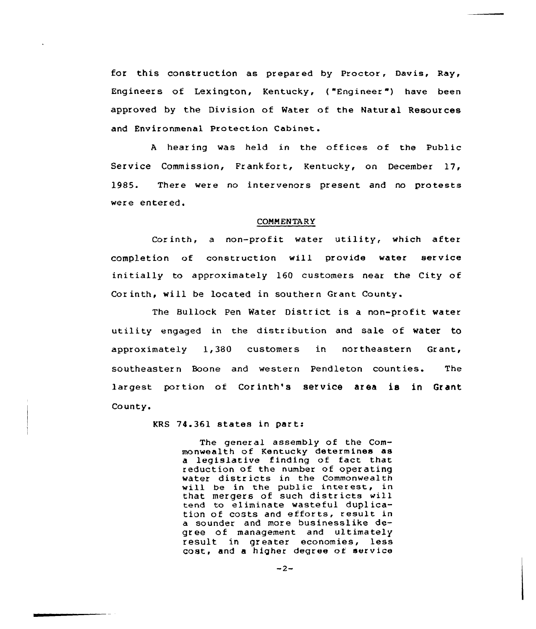for this construction as prepared by Proctor, Davis, Ray, Engineers of Lexington, Kentucky, ("Engineer") have been approved by the Division of Water of the Natural Resources and Environmenal Protection Cabinet.

<sup>A</sup> hearing was held in the offices of the Public Service Commission, Frankfort, Kentucky, on December 17, 1985. There were no intervenors present and no protests were entered.

### **COMMENTARY**

Corinth, a non-profit water utility, which after completion of construction will provide water service initially to approximately 160 customers near the City of Cor inth, will be located in southern Grant County.

The Bullock Pen Water District is a non-profit water utility engaged in the distr ibution and sale of water to approximately 1,380 customers in northeastern Grant, southeastern Boone and western Pendleton counties. The largest portion of Corinth's service area is in Grant County.

kRS 74.361 states in p<mark>art:</mark>

The gener al assembly of the Commonwealth of Kentucky determines as a legislative finding of fact that reduction of the number of operating water districts in the Commonwealth will be in the public interest, in that mergers of such districts will tend to eliminate wasteful duplication of costs and efforts, result in a sounder and more businesslike deof management and ultimately result in greater economies, less coat, and a higher degree of service

$$
-2 -
$$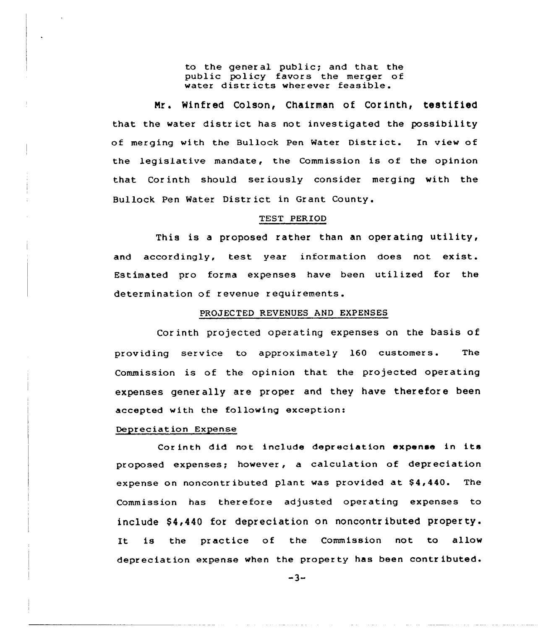to the general public; and that the public policy favars the merger of water districts wherever feasible.

Nr. Winfred Colson, Chairman of Corinth, testified that the water district has not investigated the possibility of merging with the Bullock Pen Water District. In view of the legislative mandate, the Commission is of the opinion that Cor inth should ser iously consider merging with the Bullock Pen Water District in Grant County.

# TEST PERIOD

This is <sup>a</sup> proposed rather than an oper ating utility, and accordingly, test year information does not exist. Estimated pro forma expenses have been utilized for the determination af revenue requirements.

# PROJECTED REVENUES AND EXPENSES

Corinth projected operating expenses on the basis of providing service to approximately 160 customers. The Commission is of the opinion that the projected operating expenses generally are proper and they have therefore been accepted with the following exception:

### Depreciation Expense

Cor inth did not include depreciation expense in its proposed expenses; however, a calculation of depr eciation expense on noncontributed plant was provided at \$4,440. The Commission has therefore adjusted operating expenses to include \$4,440 for depreciation on noncontributed property. It is the practice of the Commission not to allow depreciation expense when the property has been contributed.

 $-3-$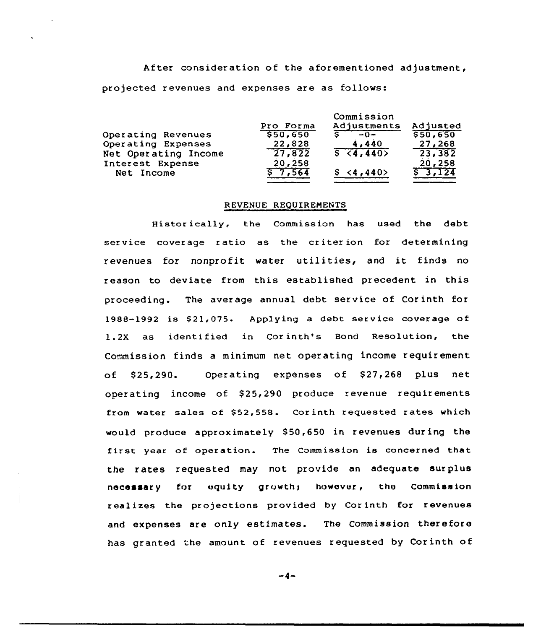After consideration of the aforementioned adjustment, projected revenues and expenses are as follows:

|                      | Commission |             |             |
|----------------------|------------|-------------|-------------|
|                      | Pro Forma  | Adjustments | Adjusted    |
| Operating Revenues   | 550,650    | $-0-$       | \$50,650    |
| Operating Expenses   | 22,828     | 4,440       | 27,268      |
| Net Operating Income | 27,822     | 5(4, 440)   | 23,382      |
| Interest Expense     | 20,258     |             | 20,258      |
| Net Income           | \$7.564    | \$ < 4,440  | $5 - 3,124$ |

# REVENUE REQUIREMENTS

Histor ieally, the Commission has used the debt service coverage ratio as the criter ion for determining revenues for nonprofit water utilities, and it finds no reason to deviate from this established precedent in this proceeding. The average annual debt service of Corinth for 1988-1992 is \$21,075. Applying a debt service coverage of 1.2X as identified in Corinth's Bond Resolution, the Commission finds a minimum net operating income requirement of \$25,290. Operating expenses of \$27,268 plus net operating income of \$25,290 produce revenue requirements from water sales of \$52,558. Corinth requested rates which would produce approximately \$50,650 in revenues during the first year of operation. The Commission is concerned that the rates requested may not provide an adequate surplus necessary for equity growth; however, the Commission realizes the projections provided by Corinth for revenues and expenses are only estimates. The Commission therefore has granted 'he amount of revenues requested by Corinth of

-4-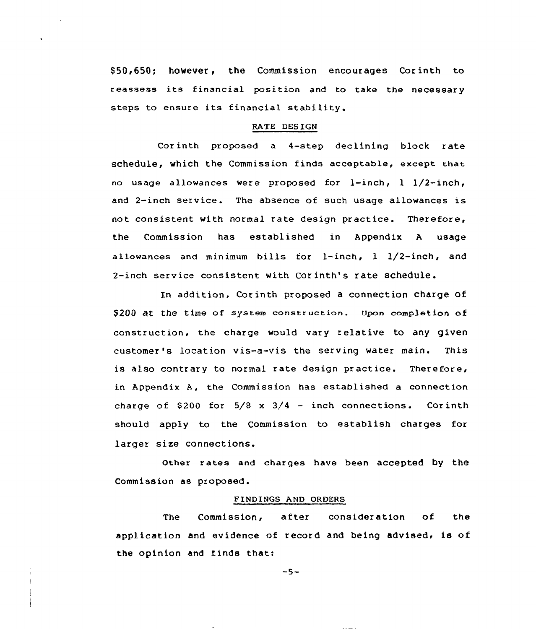\$50,650; however, the Commission encourages Corinth to reassess its financial position and to take the necessary steps to ensure its financial stability.

# RATE DES IGN

Corinth proposed a 4-step declining block rate schedule, which the Commission finds acceptable, except that no usage allowances were proposed for l-inch, 1 1/2-inch, and 2-inch service. The absence of such usage allowances is not consistent with normal rate design practice. Therefore, the Commission has established in Appendix <sup>A</sup> usage allowances and minimum bills for l-inch, <sup>1</sup> 1/2-inch, and 2-inch service consistent with Cor inth's rate schedule.

In addition, Cor inth proposed a connection charge of \$200 at the time of system construction. Upon completion of construction, the charge would vary relative to any given customer's location vis-a-vis the serving water main. This is also contrary to normal rate design practice. Therefore, in Appendix A, the Commission has established a connection charge of \$200 for  $5/8 \times 3/4$  - inch connections. Corinth should apply to the Commission to establish charges for larger size connections.

Other rates and charges have been accepted by the Commission as proposed.

#### FINDINGS AND ORDERS

The Commission, after consideration of the application and evidence of record and being advised, is of the opinion and finds that:

$$
-5-
$$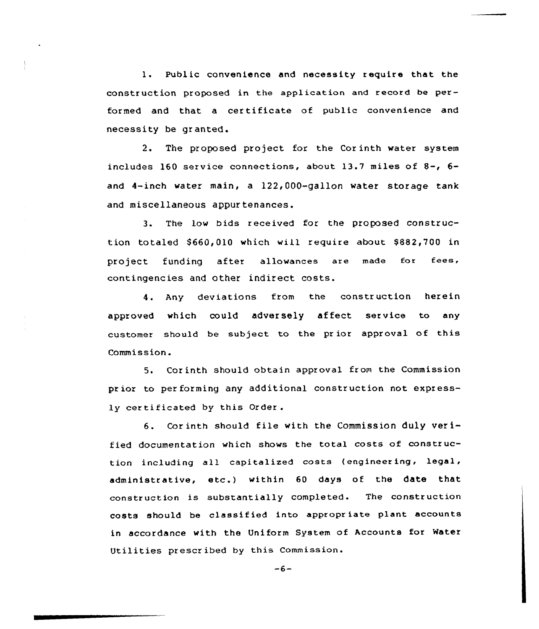1. Public convenience and necessity require that the construction proposed in the application and record be performed and that <sup>a</sup> certificate of public convenience and necessity be granted.

2. The proposed project for the Cor inth water system includes 160 service connections, about 13.7 miles of 8-, 6 and 4-inch water main, a 122,000-gallon water storage tank and miscellaneous appur tenances.

3. The low bids received for the proposed construction totaled \$660,010 which will require about \$882,700 in project funding after allowances are made for fees, contingencies and other indirect costs.

4. Any deviations from the construction herein approved which could adversely affect service to any customer should be subject to the pr ior approval of this Commission.

5. Corinth should obtain approval from the Commission prior to per forming any additional construction not expressly certificated by this Order.

6. Cor inth should file with the Commission duly ver ified documentation which shows the total costs of construction including all capitalized costs (engineer ing, legal, administrative, etc.) within <sup>60</sup> days of the date that constr uction is substantially completed. The construction costs should be classif ied into appropr iate plant accounts in accordance with the Uniform System of Accounts for Water Utilities prescribed by this Commission.

 $-6-$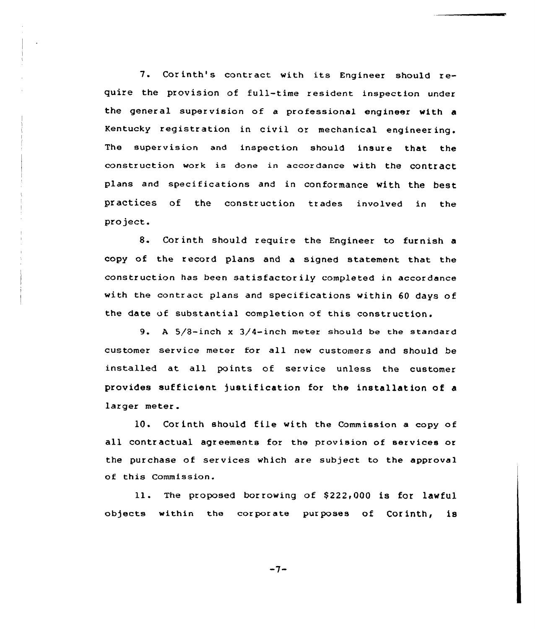7. Corinth's contract with its Engineer should require the provision of full-time resident inspection under the general supervision of a professional engineer with a Kentucky registration in civil or mechanical engineering. The supervision and inspection should insure that the construction work is done in accordance with the COntraCt plans and specifications and in conformance with the best practices of the construction trades involved in the project.

8. Cor inth should require the Engineer to furnish <sup>a</sup> copy of the record plans and a signed statement that the construction has been satisfactor iiy completed in accordance with the contract plans and specifications within 60 days of the date vf substantial completion of this construction.

9. <sup>A</sup> 5/8-inch <sup>x</sup> 3/4-inch meter should be the standard customer service meter for all new customers and should be installed at all points of service unless the customer provides sufficient justification for the installation of a larger meter .

10. Corinth should file with the Commission a copy of all contr actual agr eements for the provision of services or the purchase of services which are subject to the approval of this Commission.

11. The proposed borrowing of \$222,000 is for lawful objects within the corporate purposes of Corinth, is

$$
-7-
$$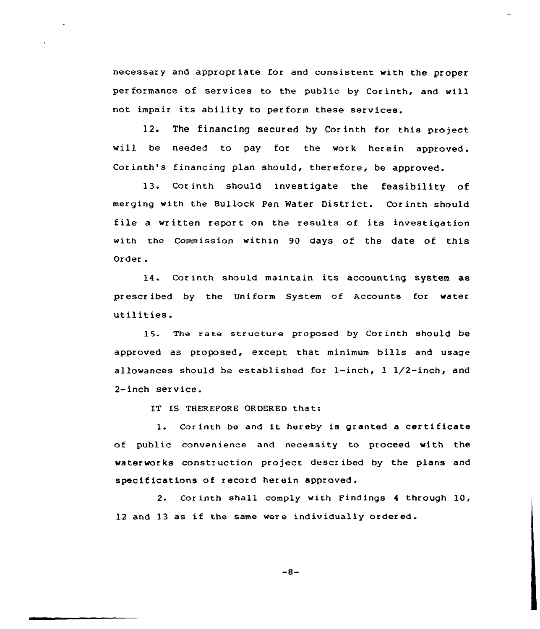necessary and appropriate for and consistent with the proper per formance of services to the public by Corinth, and will not impair its ability to per form these services.

12. The financing secured by Cor inth for this project will be needed to pay for the work herein approved. Corinth's financing plan should, therefore, be approved.

13. Corinth should investigate the feasibility of merging with the Bullock pen Water District. Corinth should file <sup>a</sup> written report on the results of its investigation with the Commission within 90 days of the date of this Order .

14. Cor inth should maintain its accounting system as prescribed by the Uniform System of Accounts for water utilities.

15. The rate structure proposed by Corinth should be approved as proposed, except that minimum bills and usage allowances should be established for  $l$ -inch,  $l$   $l/2$ -inch, and 2-inch service.

IT IS THEREFORE ORDERED that:

1. Corinth be and it hereby is granted a certificate of public convenience and necessity to proceed with the waterworks construction project described by the plans and specifications of record herein approved.

2. Cor inth shall comply with Findings <sup>4</sup> through 10, <sup>12</sup> and 13 as if the same were individually ordered.

$$
-8-
$$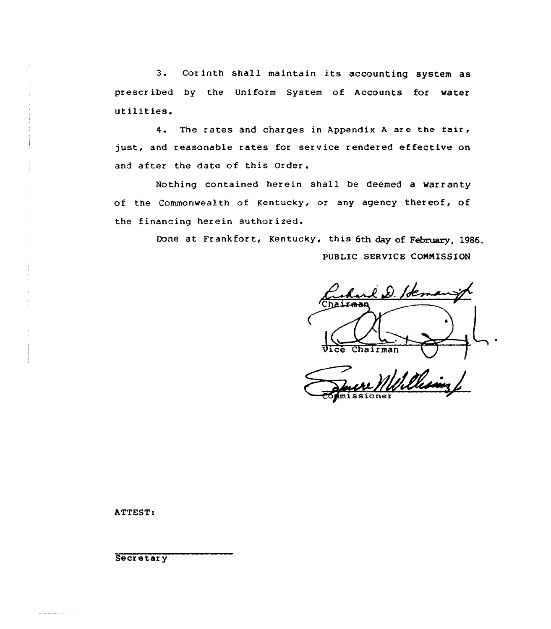3. Corinth shall maintain its accounting system as prescribed by the Uniform System of Accounts for water utilities.

4. The rates and charges in Appendix <sup>A</sup> are the fair, just, and reasonable rates for service rendered effective on and after the date of this Order.

Nothing contained herein shall be deemed a warranty of the Commonwealth of Kentucky, or any agency thereof, of the financing herein authorized.

> Done at Frankfort, Kentucky, this 6th day of February, 1986. PUBLIC SERVICE COMMISSION

 $\&$  D. lot  $\sim$ Chairman Vice Chairman

Wille

ATTEST:

**Secretary** 

الأنادار التراكيل للتراكيل للتراكي